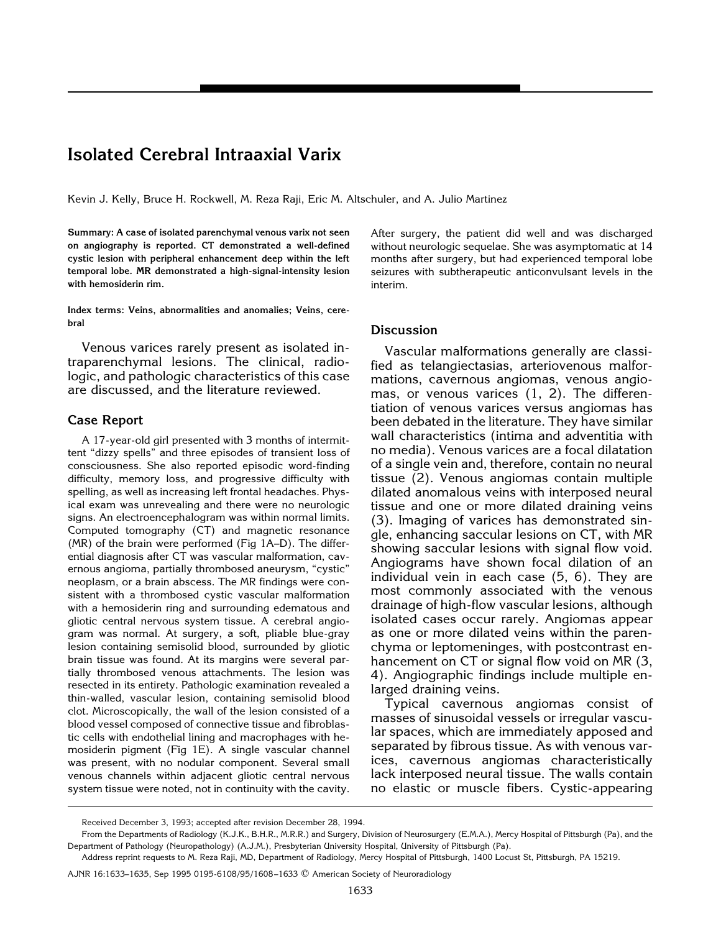## **Isolated Cerebral Intraaxial Varix**

Kevin J. Kelly, Bruce H. Rockwell, M. Reza Raji, Eric M. Altschuler, and A. Julio Martinez

**Summary: A case of isolated parenchymal venous varix not seen on angiography is reported. CT demonstrated a well-defined cystic lesion with peripheral enhancement deep within the left temporal lobe. MR demonstrated a high-signal-intensity lesion with hemosiderin rim.**

**Index terms: Veins, abnormalities and anomalies; Veins, cerebral**

Venous varices rarely present as isolated intraparenchymal lesions. The clinical, radiologic, and pathologic characteristics of this case are discussed, and the literature reviewed.

## **Case Report**

A 17-year-old girl presented with 3 months of intermittent "dizzy spells" and three episodes of transient loss of consciousness. She also reported episodic word-finding difficulty, memory loss, and progressive difficulty with spelling, as well as increasing left frontal headaches. Physical exam was unrevealing and there were no neurologic signs. An electroencephalogram was within normal limits. Computed tomography (CT) and magnetic resonance (MR) of the brain were performed (Fig 1A–D). The differential diagnosis after CT was vascular malformation, cavernous angioma, partially thrombosed aneurysm, "cystic" neoplasm, or a brain abscess. The MR findings were consistent with a thrombosed cystic vascular malformation with a hemosiderin ring and surrounding edematous and gliotic central nervous system tissue. A cerebral angiogram was normal. At surgery, a soft, pliable blue-gray lesion containing semisolid blood, surrounded by gliotic brain tissue was found. At its margins were several partially thrombosed venous attachments. The lesion was resected in its entirety. Pathologic examination revealed a thin-walled, vascular lesion, containing semisolid blood clot. Microscopically, the wall of the lesion consisted of a blood vessel composed of connective tissue and fibroblastic cells with endothelial lining and macrophages with hemosiderin pigment (Fig 1E). A single vascular channel was present, with no nodular component. Several small venous channels within adjacent gliotic central nervous system tissue were noted, not in continuity with the cavity.

After surgery, the patient did well and was discharged without neurologic sequelae. She was asymptomatic at 14 months after surgery, but had experienced temporal lobe seizures with subtherapeutic anticonvulsant levels in the interim.

## **Discussion**

Vascular malformations generally are classified as telangiectasias, arteriovenous malformations, cavernous angiomas, venous angiomas, or venous varices (1, 2). The differentiation of venous varices versus angiomas has been debated in the literature. They have similar wall characteristics (intima and adventitia with no media). Venous varices are a focal dilatation of a single vein and, therefore, contain no neural tissue (2). Venous angiomas contain multiple dilated anomalous veins with interposed neural tissue and one or more dilated draining veins (3). Imaging of varices has demonstrated single, enhancing saccular lesions on CT, with MR showing saccular lesions with signal flow void. Angiograms have shown focal dilation of an individual vein in each case (5, 6). They are most commonly associated with the venous drainage of high-flow vascular lesions, although isolated cases occur rarely. Angiomas appear as one or more dilated veins within the parenchyma or leptomeninges, with postcontrast enhancement on CT or signal flow void on MR (3, 4). Angiographic findings include multiple enlarged draining veins.

Typical cavernous angiomas consist of masses of sinusoidal vessels or irregular vascular spaces, which are immediately apposed and separated by fibrous tissue. As with venous varices, cavernous angiomas characteristically lack interposed neural tissue. The walls contain no elastic or muscle fibers. Cystic-appearing

Received December 3, 1993; accepted after revision December 28, 1994.

From the Departments of Radiology (K.J.K., B.H.R., M.R.R.) and Surgery, Division of Neurosurgery (E.M.A.), Mercy Hospital of Pittsburgh (Pa), and the Department of Pathology (Neuropathology) (A.J.M.), Presbyterian University Hospital, University of Pittsburgh (Pa).

Address reprint requests to M. Reza Raji, MD, Department of Radiology, Mercy Hospital of Pittsburgh, 1400 Locust St, Pittsburgh, PA 15219.

AJNR 16:1633–1635, Sep 1995 0195-6108/95/1608 –1633 q American Society of Neuroradiology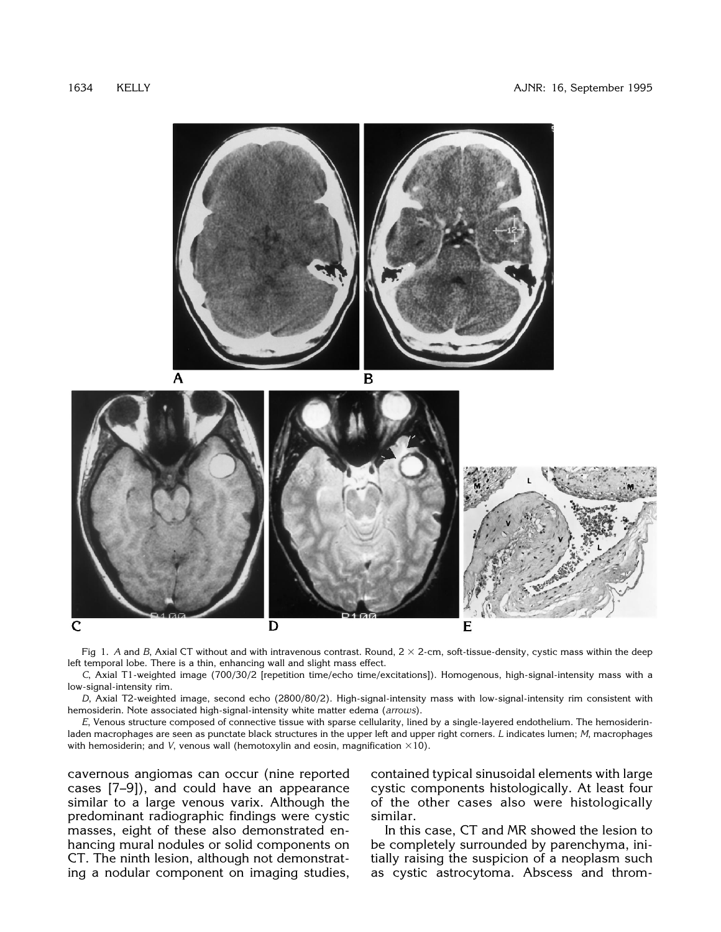

Fig 1. A and B, Axial CT without and with intravenous contrast. Round,  $2 \times 2$ -cm, soft-tissue-density, cystic mass within the deep left temporal lobe. There is a thin, enhancing wall and slight mass effect.

*C*, Axial T1-weighted image (700/30/2 [repetition time/echo time/excitations]). Homogenous, high-signal-intensity mass with a low-signal-intensity rim.

*D*, Axial T2-weighted image, second echo (2800/80/2). High-signal-intensity mass with low-signal-intensity rim consistent with hemosiderin. Note associated high-signal-intensity white matter edema (*arrows*).

*E*, Venous structure composed of connective tissue with sparse cellularity, lined by a single-layered endothelium. The hemosiderinladen macrophages are seen as punctate black structures in the upper left and upper right corners. *L* indicates lumen; *M*, macrophages with hemosiderin; and *V*, venous wall (hemotoxylin and eosin, magnification  $\times$ 10).

cavernous angiomas can occur (nine reported cases [7–9]), and could have an appearance similar to a large venous varix. Although the predominant radiographic findings were cystic masses, eight of these also demonstrated enhancing mural nodules or solid components on CT. The ninth lesion, although not demonstrating a nodular component on imaging studies,

contained typical sinusoidal elements with large cystic components histologically. At least four of the other cases also were histologically similar.

In this case, CT and MR showed the lesion to be completely surrounded by parenchyma, initially raising the suspicion of a neoplasm such as cystic astrocytoma. Abscess and throm